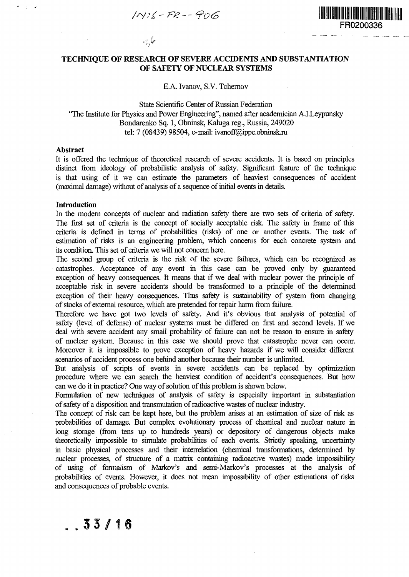$1NIS-FR--POG$ 



## **TECHNIQUE OF RESEARCH OF SEVERE ACCIDENTS AND SUBSTANTIATION** OF SAFETY OF NUCLEAR SYSTEMS

#### E.A. Ivanov, S.V. Tchernov E.A. Ivanov, S.V. Tchernov

# State Scientific Center of Russian Federation "The Institute for Physics and Power Engineering", named after academician A.I.Leypunsky Bondarenko Sq. 1, Obninsk, Kaluga reg., Russia, 249020 tel: 7 (08439) 98504, e-mail: ivanoff@ippe.obninsk.ru

## **Abstract**

 $\sim$ 

It is offered the technique of theoretical research of severe accidents. It is based on principles distinct from ideology of probabilistic analysis of safety. Significant feature of the technique is that using of it we can estimate the parameters of heaviest consequences of accident (maximal damage) without of analysis of a sequence of initial events in details.

## **Introduction**

 $.33/16$ 

In the modern concepts of nuclear and radiation safety there are two sets of criteria of safety. The first set of criteria is the concept of socially acceptable risk. The safety in frame of this criteria is defined in terms of probabilities (risks) of one or another events. The task of estimation of risks is an engineering problem, which concerns for each concrete system and its condition. This set of criteria we will not concern here.

The second group of criteria is the risk of the severe failures, which can be recognized as catastrophes. Acceptance of any event in this case can be proved only by guaranteed exception of heavy consequences. It means that if we deal with nuclear power the principle of acceptable risk in severe accidents should be transformed to a principle of the determined exception of their heavy consequences. Thus safety is sustainability of system from changing of stocks of external resource, which are pretended for repair harm from failure.

Therefore we have got two levels of safety. And it's obvious that analysis of potential of safety (level of defense) of nuclear systems must be differed on first and second levels. If we deal with severe accident any small probability of failure can not be reason to ensure in safety of nuclear system. Because in this case we should prove that catastrophe never can occur. Moreover it is impossible to prove exception of heavy hazards if we will consider different scenarios of accident process one behind another because their number is unlimited.

But analysis of scripts of events in severe accidents can be replaced by optimization procedure where we can search the heaviest condition of accident's consequences. But how can we do it in practice? One way of solution of this problem is shown below.

Formulation of new techniques of analysis of safety is especially important in substantiation of safety of a disposition and transmutation of radioactive wastes of nuclear industry.

The concept of risk can be kept here, but the problem arises at an estimation of size of risk as probabilities of damage. But complex evolutionary process of chemical and nuclear nature in long storage (from tens up to hundreds years) or depository of dangerous objects make theoretically impossible to simulate probabilities of each events. Strictly speaking, uncertainty in basic physical processes and their interrelation (chemical transformations, determined by nuclear processes, of structure of a matrix containing radioactive wastes) made impossibility of using of formalism of Markov's and semi-Markov's processes at the analysis of probabilities of events. However, it does not mean impossibility of other estimations of risks and consequences of probable events.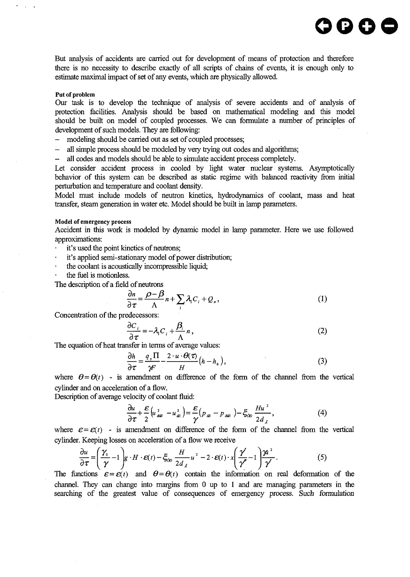But analysis of accidents are carried out for development of means of protection and therefore there is no necessity to describe exactly of all scripts of chains of events, it is enough only to estimate maximal impact of set of any events, which are physically allowed.

**OGO©**

### Put of problem

 $\sim$ 

Our task is to develop the technique of analysis of severe accidents and of analysis of protection facilities. Analysis should be based on mathematical modeling and this model should be built on model of coupled processes. We can formulate a number of principles of development of such models. They are following:

- modeling should be carried out as set of coupled processes;

- all simple process should be modeled by very trying out codes and algorithms;

- all codes and models should be able to simulate accident process completely.

Let consider accident process in cooled by light water nuclear systems. Asymptotically behavior of this system can be described as static regime with balanced reactivity from initial perturbation and temperature and coolant density.

Model must include models of neutron kinetics, hydrodynamics of coolant, mass and heat transfer, steam generation in water etc. Model should be built in lamp parameters.

#### Model of emergency process

Accident in this work is modeled by dynamic model in lamp parameter. Here we use followed approximations:

- it's used the point kinetics of neutrons;
- it's applied semi-stationary model of power distribution;  $\ddot{\phantom{0}}$
- the coolant is acoustically incompressible liquid;
- the fuel is motionless.

The description of a field of neutrons

$$
\frac{\partial n}{\partial \tau} = \frac{\rho - \beta}{\Lambda} n + \sum_{i} \lambda_i C_i + Q_n, \tag{1}
$$

Concentration of the predecessors:

$$
\frac{\partial C_i}{\partial \tau} = -\lambda_i C_i + \frac{\beta_i}{\Lambda} n, \tag{2}
$$

The equation of heat transfer in terms of average values:

$$
\frac{\partial h}{\partial \tau} = \frac{q_s \Pi}{\gamma F} - \frac{2 \cdot u \cdot \Theta(\tau)}{H} (h - h_o), \tag{3}
$$

where  $\theta = \theta(t)$  - is amendment on difference of the form of the channel from the vertical cylinder and on acceleration of a flow.

Description of average velocity of coolant fluid:

$$
\frac{\partial u}{\partial \tau} + \frac{\mathcal{E}}{2} \left( u_{\dot{\alpha}\dot{\omega}}^2 - u_{\dot{\omega}}^2 \right) = \frac{\mathcal{E}}{\gamma} \left( p_{\dot{\omega}} - p_{\dot{\alpha}\dot{\omega}} \right) - \xi_{\dot{\omega}} \frac{Hu^2}{2 d_{\dot{\lambda}}},\tag{4}
$$

where  $\varepsilon = \varepsilon(t)$  - is amendment on difference of the form of the channel from the vertical where  $\mathcal{L} = \mathcal{L}(t)$  - is americantly on difference of the form of the channel from the vertical

$$
\frac{\partial u}{\partial \tau} = \left(\frac{\gamma_0}{\gamma} - 1\right) g \cdot H \cdot \varepsilon(t) - \xi_{\infty} \frac{H}{2d_{\lambda}} u^2 - 2 \cdot \varepsilon(t) \cdot x \left(\frac{\gamma}{\gamma'} - 1\right) \frac{\gamma a^2}{\gamma'}.
$$
 (5)

The functions  $\varepsilon = \varepsilon(t)$  and  $\theta = \theta(t)$  contain the information on real deformation of the channel. They can change into margins from 0 up to 1 and are managing parameters in the searching of the greatest value of consequences of emergency process. Such formulation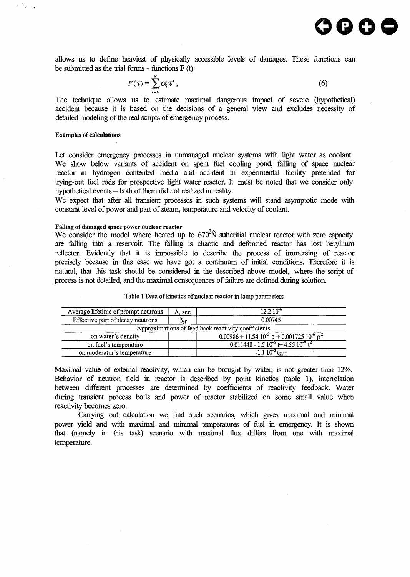allows us to define heaviest of physically accessible levels of damages. These functions can be submitted as the trial forms - functions F (t):

$$
F(\tau) = \sum_{i=0}^{N} \alpha_i \tau^i, \qquad (6)
$$

The technique allows us to estimate maximal dangerous impact of severe (hypothetical) accident because it is based on the decisions of a general view and excludes necessity of detailed modeling of the real scripts of emergency process.

## **Examples of calculations**

 $\Delta$ 

Let consider emergency processes in unmanaged nuclear systems with light water as coolant. We show below variants of accident on spent fuel cooling pond, falling of space nuclear reactor in hydrogen contented media and accident in experimental facility pretended for trying-out fuel rods for prospective light water reactor. It must be noted that we consider only hypothetical events - both of them did not realized in reality.

We expect that after all transient processes in such systems will stand asymptotic mode with constant level of power and part of steam, temperature and velocity of coolant.

## **Falling of damaged space power nuclear reactor**

We consider the model where heated up to  $670^{1}$  $\tilde{N}$  subcritial nuclear reactor with zero capacity are falling into a reservoir. The falling is chaotic and deformed reactor has lost beryllium reflector. Evidently that it is impossible to describe the process of immersing of reactor precisely because in this case we have got a continuum of initial conditions. Therefore it is natural, that this task should be considered in the described above model, where the script of process is not detailed, and the maximal consequences of failure are defined during solution.

| Average lifetime of prompt neutrons | A, sec | $12.210^{6}$                                             |  |
|-------------------------------------|--------|----------------------------------------------------------|--|
| Effective part of decay neutrons    | Bef    | 0.00745                                                  |  |
|                                     |        | Approximations of feed back reactivity coefficients      |  |
| on water's density                  |        | $0.00986 + 11.5410^{5} p + 0.00172510^{6} p^{2}$         |  |
| on fuel's temperature               |        | $0.011448 - 1.510^{-5}$ t+ 4.55 $10^{-9}$ t <sup>2</sup> |  |
| on moderator's temperature          |        | tz, u                                                    |  |

Table 1 Data of kinetics of nuclear reactor in lamp parameters

Maximal value of external reactivity, which can be brought by water, is not greater than 12%. Behavior of neutron field in reactor is described by point kinetics (table 1), interrelation between different processes are determined by coefficients of reactivity feedback. Water during transient process boils and power of reactor stabilized on some small value when reactivity becomes zero.

Carrying out calculation we find such scenarios, which gives maximal and minimal power yield and with maximal and minimal temperatures of fuel in emergency. It is shown that (namely in this task) scenario with maximal flux differs from one with maximal temperature.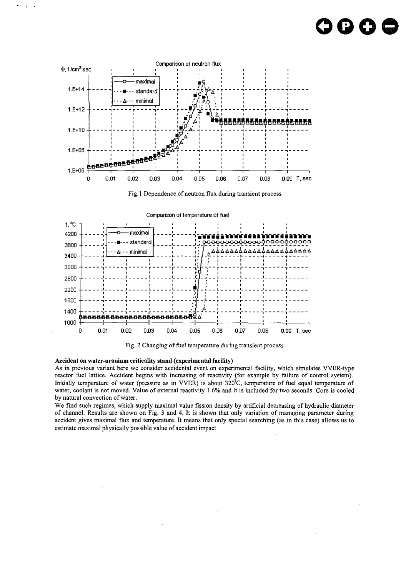# **oooe**



Fig.l Dependence of neutron flux during transient process



Fig. 2 Changing of fuel temperature during transient process

#### **Accident on water-uranium criticality stand (experimental facility)**

As in previous variant here we consider accidental event on experimental facility, which simulates VVER-type reactor fuel lattice. Accident begins with increasing of reactivity (for example by failure of control system). Initially temperature of water (pressure as in VVER) is about 320'C, temperature of fuel equal temperature of water, coolant is not moved. Value of external reactivity 1.6% and it is included for two seconds. Core is cooled by natural convection of water.

We find such regimes, which supply maximal value fission density by artificial decreasing of hydraulic diameter of channel. Results are shown on Fig. 3 and 4. It is shown that only variation of managing parameter during accident gives maximal flux and temperature. It means that only special searching (as in this case) allows us to estimate maximal physically possible value of accident impact.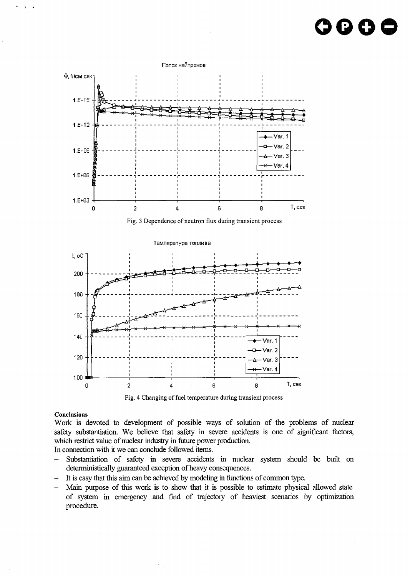





#### **Conclusions**

÷

Work is devoted to development of possible ways of solution of the problems of nuclear safety substantiation. We believe that safety in severe accidents is one of significant factors, which restrict value of nuclear industry in future power production.

In connection with it we can conclude followed items.

- Substantiation of safety in severe accidents in nuclear system should be built on deterministically guaranteed exception of heavy consequences.
- It is easy that this aim can be achieved by modeling in functions of common type.
- Main purpose of this work is to show that it is possible to estimate physical allowed state of system in emergency and find of trajectory of heaviest scenarios by optimization procedure.